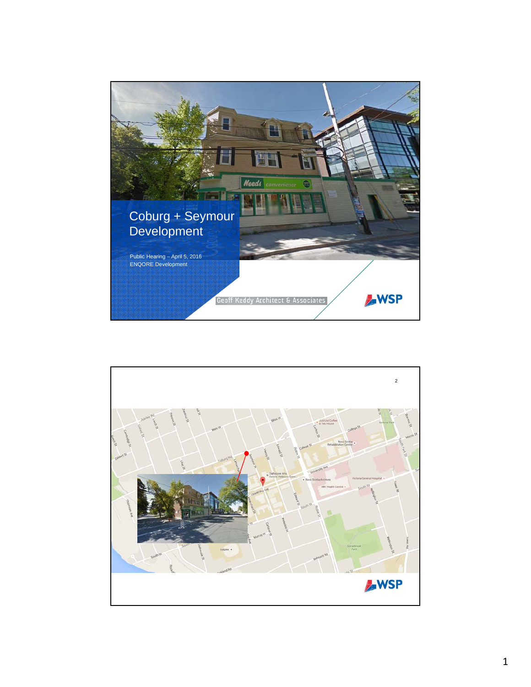

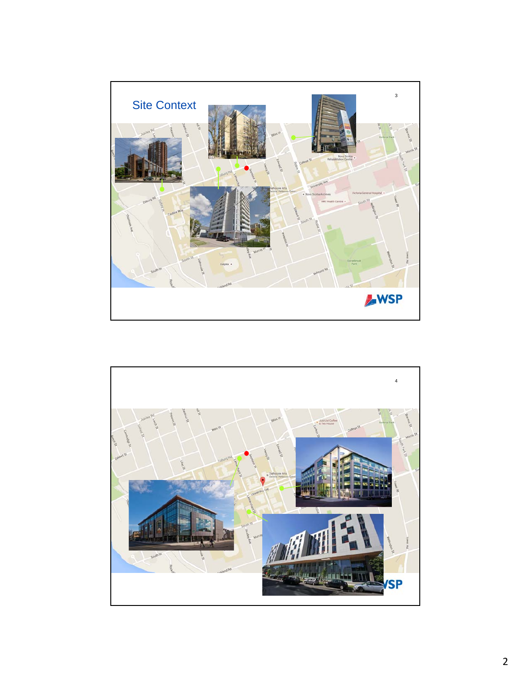

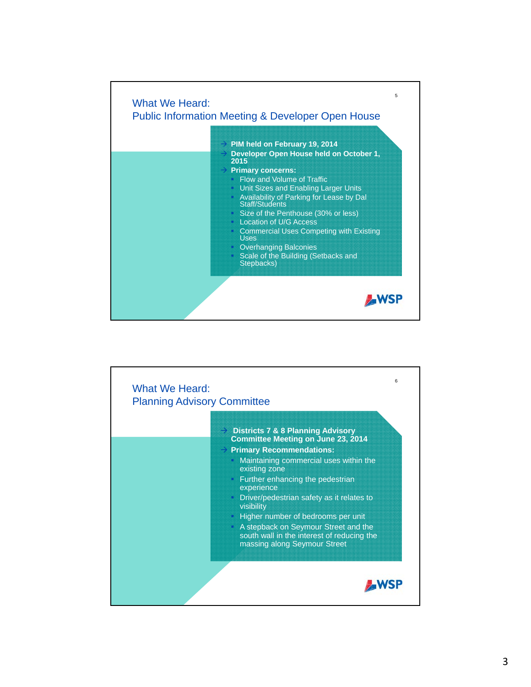

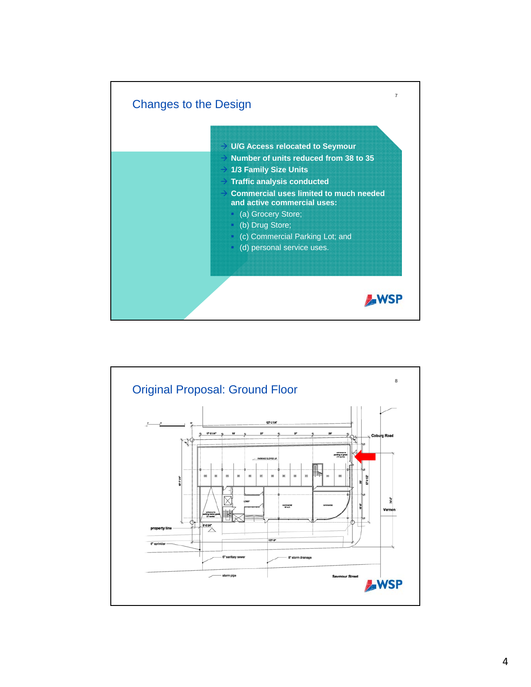

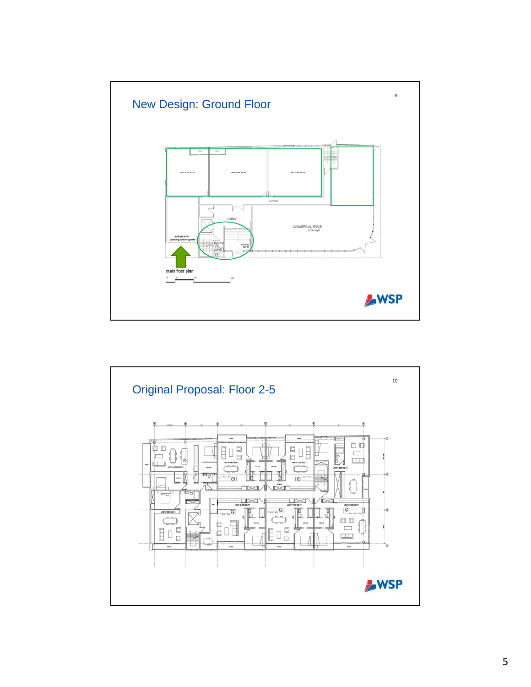

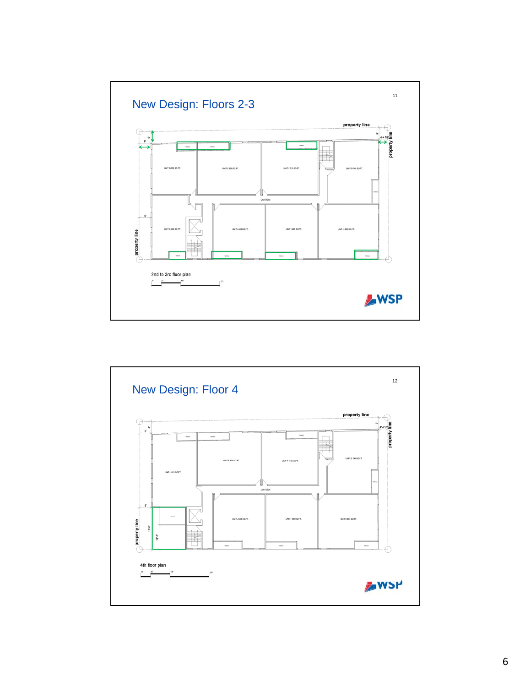

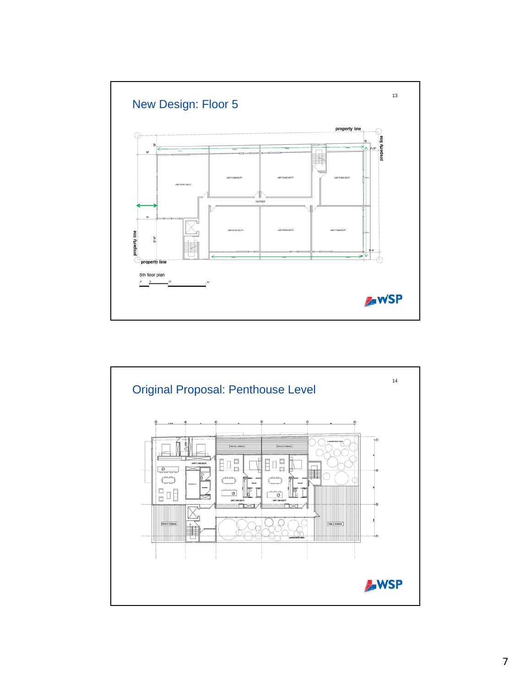

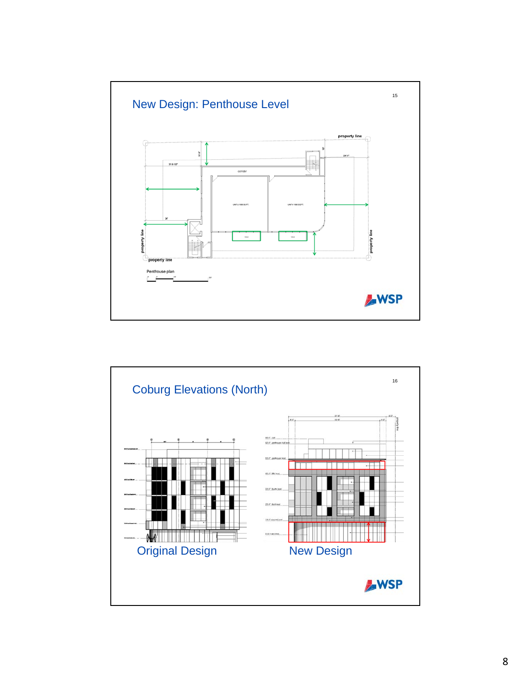

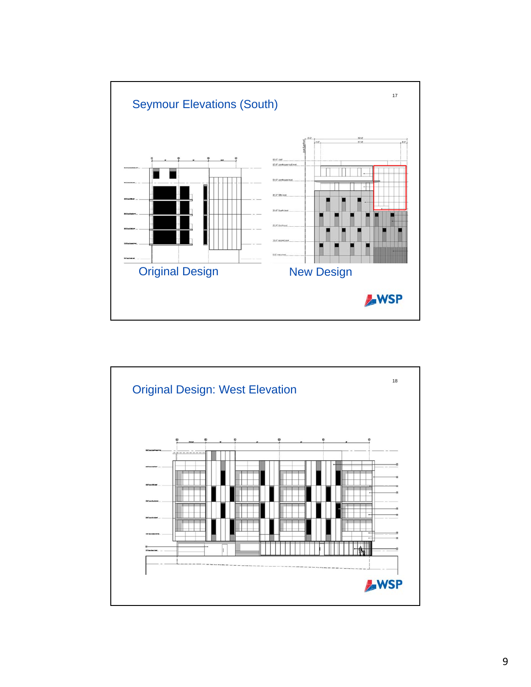

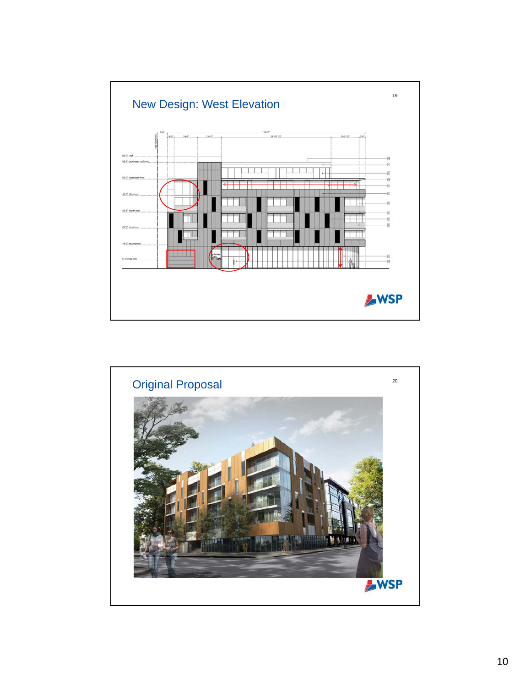

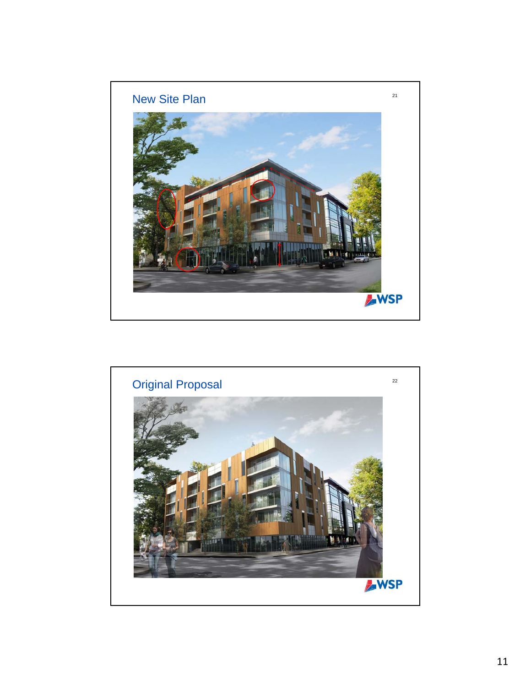

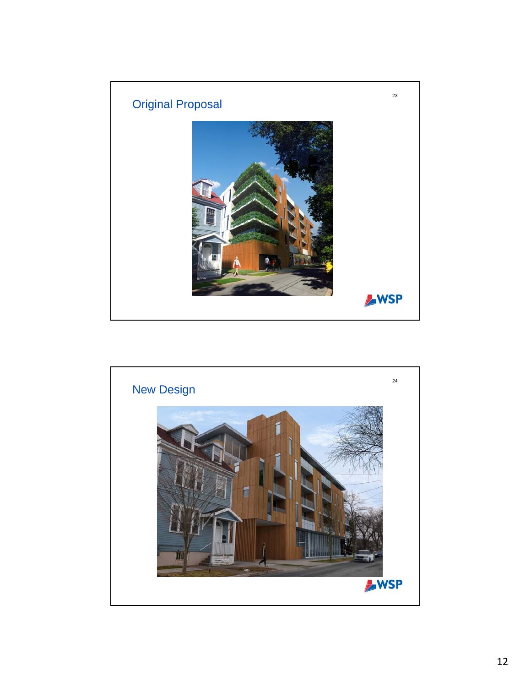